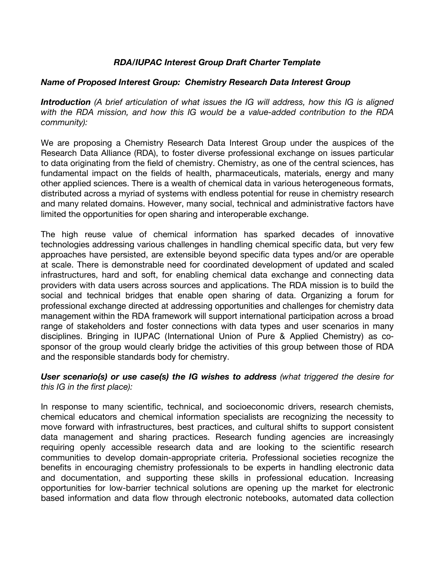## *RDA/IUPAC Interest Group Draft Charter Template*

## *Name of Proposed Interest Group: Chemistry Research Data Interest Group*

*Introduction (A brief articulation of what issues the IG will address, how this IG is aligned with the RDA mission, and how this IG would be a value-added contribution to the RDA community):*

We are proposing a Chemistry Research Data Interest Group under the auspices of the Research Data Alliance (RDA), to foster diverse professional exchange on issues particular to data originating from the field of chemistry. Chemistry, as one of the central sciences, has fundamental impact on the fields of health, pharmaceuticals, materials, energy and many other applied sciences. There is a wealth of chemical data in various heterogeneous formats, distributed across a myriad of systems with endless potential for reuse in chemistry research and many related domains. However, many social, technical and administrative factors have limited the opportunities for open sharing and interoperable exchange.

The high reuse value of chemical information has sparked decades of innovative technologies addressing various challenges in handling chemical specific data, but very few approaches have persisted, are extensible beyond specific data types and/or are operable at scale. There is demonstrable need for coordinated development of updated and scaled infrastructures, hard and soft, for enabling chemical data exchange and connecting data providers with data users across sources and applications. The RDA mission is to build the social and technical bridges that enable open sharing of data. Organizing a forum for professional exchange directed at addressing opportunities and challenges for chemistry data management within the RDA framework will support international participation across a broad range of stakeholders and foster connections with data types and user scenarios in many disciplines. Bringing in IUPAC (International Union of Pure & Applied Chemistry) as cosponsor of the group would clearly bridge the activities of this group between those of RDA and the responsible standards body for chemistry.

*User scenario(s) or use case(s) the IG wishes to address (what triggered the desire for this IG in the first place):*

In response to many scientific, technical, and socioeconomic drivers, research chemists, chemical educators and chemical information specialists are recognizing the necessity to move forward with infrastructures, best practices, and cultural shifts to support consistent data management and sharing practices. Research funding agencies are increasingly requiring openly accessible research data and are looking to the scientific research communities to develop domain-appropriate criteria. Professional societies recognize the benefits in encouraging chemistry professionals to be experts in handling electronic data and documentation, and supporting these skills in professional education. Increasing opportunities for low-barrier technical solutions are opening up the market for electronic based information and data flow through electronic notebooks, automated data collection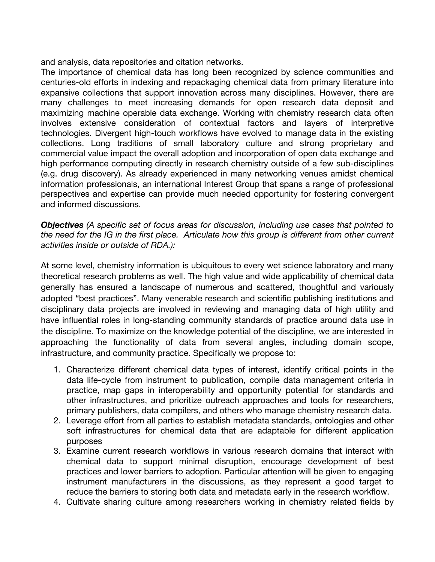and analysis, data repositories and citation networks.

The importance of chemical data has long been recognized by science communities and centuries-old efforts in indexing and repackaging chemical data from primary literature into expansive collections that support innovation across many disciplines. However, there are many challenges to meet increasing demands for open research data deposit and maximizing machine operable data exchange. Working with chemistry research data often involves extensive consideration of contextual factors and layers of interpretive technologies. Divergent high-touch workflows have evolved to manage data in the existing collections. Long traditions of small laboratory culture and strong proprietary and commercial value impact the overall adoption and incorporation of open data exchange and high performance computing directly in research chemistry outside of a few sub-disciplines (e.g. drug discovery). As already experienced in many networking venues amidst chemical information professionals, an international Interest Group that spans a range of professional perspectives and expertise can provide much needed opportunity for fostering convergent and informed discussions.

*Objectives (A specific set of focus areas for discussion, including use cases that pointed to the need for the IG in the first place. Articulate how this group is different from other current activities inside or outside of RDA.):*

At some level, chemistry information is ubiquitous to every wet science laboratory and many theoretical research problems as well. The high value and wide applicability of chemical data generally has ensured a landscape of numerous and scattered, thoughtful and variously adopted "best practices". Many venerable research and scientific publishing institutions and disciplinary data projects are involved in reviewing and managing data of high utility and have influential roles in long-standing community standards of practice around data use in the discipline. To maximize on the knowledge potential of the discipline, we are interested in approaching the functionality of data from several angles, including domain scope, infrastructure, and community practice. Specifically we propose to:

- 1. Characterize different chemical data types of interest, identify critical points in the data life-cycle from instrument to publication, compile data management criteria in practice, map gaps in interoperability and opportunity potential for standards and other infrastructures, and prioritize outreach approaches and tools for researchers, primary publishers, data compilers, and others who manage chemistry research data.
- 2. Leverage effort from all parties to establish metadata standards, ontologies and other soft infrastructures for chemical data that are adaptable for different application purposes
- 3. Examine current research workflows in various research domains that interact with chemical data to support minimal disruption, encourage development of best practices and lower barriers to adoption. Particular attention will be given to engaging instrument manufacturers in the discussions, as they represent a good target to reduce the barriers to storing both data and metadata early in the research workflow.
- 4. Cultivate sharing culture among researchers working in chemistry related fields by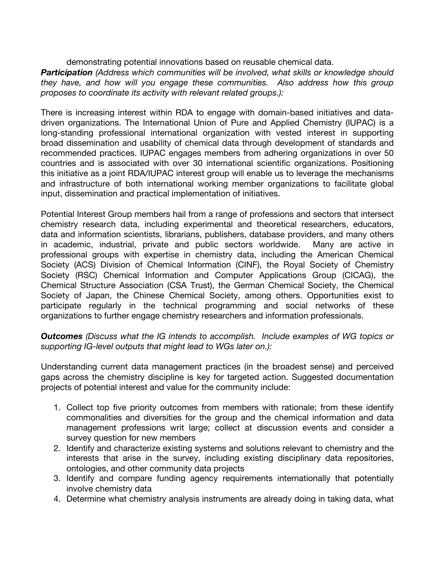demonstrating potential innovations based on reusable chemical data.

*Participation (Address which communities will be involved, what skills or knowledge should they have, and how will you engage these communities. Also address how this group proposes to coordinate its activity with relevant related groups.):*

There is increasing interest within RDA to engage with domain-based initiatives and datadriven organizations. The International Union of Pure and Applied Chemistry (IUPAC) is a long-standing professional international organization with vested interest in supporting broad dissemination and usability of chemical data through development of standards and recommended practices. IUPAC engages members from adhering organizations in over 50 countries and is associated with over 30 international scientific organizations. Positioning this initiative as a joint RDA/IUPAC interest group will enable us to leverage the mechanisms and infrastructure of both international working member organizations to facilitate global input, dissemination and practical implementation of initiatives.

Potential Interest Group members hail from a range of professions and sectors that intersect chemistry research data, including experimental and theoretical researchers, educators, data and information scientists, librarians, publishers, database providers, and many others in academic, industrial, private and public sectors worldwide. Many are active in professional groups with expertise in chemistry data, including the American Chemical Society (ACS) Division of Chemical Information (CINF), the Royal Society of Chemistry Society (RSC) Chemical Information and Computer Applications Group (CICAG), the Chemical Structure Association (CSA Trust), the German Chemical Society, the Chemical Society of Japan, the Chinese Chemical Society, among others. Opportunities exist to participate regularly in the technical programming and social networks of these organizations to further engage chemistry researchers and information professionals.

*Outcomes (Discuss what the IG intends to accomplish. Include examples of WG topics or supporting IG-level outputs that might lead to WGs later on.):*

Understanding current data management practices (in the broadest sense) and perceived gaps across the chemistry discipline is key for targeted action. Suggested documentation projects of potential interest and value for the community include:

- 1. Collect top five priority outcomes from members with rationale; from these identify commonalities and diversities for the group and the chemical information and data management professions writ large; collect at discussion events and consider a survey question for new members
- 2. Identify and characterize existing systems and solutions relevant to chemistry and the interests that arise in the survey, including existing disciplinary data repositories, ontologies, and other community data projects
- 3. Identify and compare funding agency requirements internationally that potentially involve chemistry data
- 4. Determine what chemistry analysis instruments are already doing in taking data, what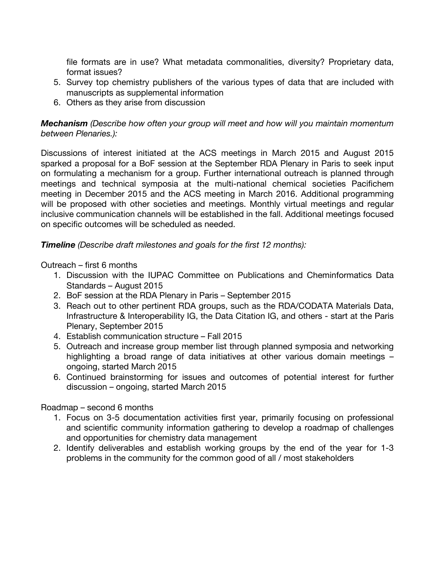file formats are in use? What metadata commonalities, diversity? Proprietary data, format issues?

- 5. Survey top chemistry publishers of the various types of data that are included with manuscripts as supplemental information
- 6. Others as they arise from discussion

*Mechanism (Describe how often your group will meet and how will you maintain momentum between Plenaries.):*

Discussions of interest initiated at the ACS meetings in March 2015 and August 2015 sparked a proposal for a BoF session at the September RDA Plenary in Paris to seek input on formulating a mechanism for a group. Further international outreach is planned through meetings and technical symposia at the multi-national chemical societies Pacifichem meeting in December 2015 and the ACS meeting in March 2016. Additional programming will be proposed with other societies and meetings. Monthly virtual meetings and regular inclusive communication channels will be established in the fall. Additional meetings focused on specific outcomes will be scheduled as needed.

*Timeline (Describe draft milestones and goals for the first 12 months):*

Outreach – first 6 months

- 1. Discussion with the IUPAC Committee on Publications and Cheminformatics Data Standards – August 2015
- 2. BoF session at the RDA Plenary in Paris September 2015
- 3. Reach out to other pertinent RDA groups, such as the RDA/CODATA Materials Data, Infrastructure & Interoperability IG, the Data Citation IG, and others - start at the Paris Plenary, September 2015
- 4. Establish communication structure Fall 2015
- 5. Outreach and increase group member list through planned symposia and networking highlighting a broad range of data initiatives at other various domain meetings – ongoing, started March 2015
- 6. Continued brainstorming for issues and outcomes of potential interest for further discussion – ongoing, started March 2015

Roadmap – second 6 months

- 1. Focus on 3-5 documentation activities first year, primarily focusing on professional and scientific community information gathering to develop a roadmap of challenges and opportunities for chemistry data management
- 2. Identify deliverables and establish working groups by the end of the year for 1-3 problems in the community for the common good of all / most stakeholders